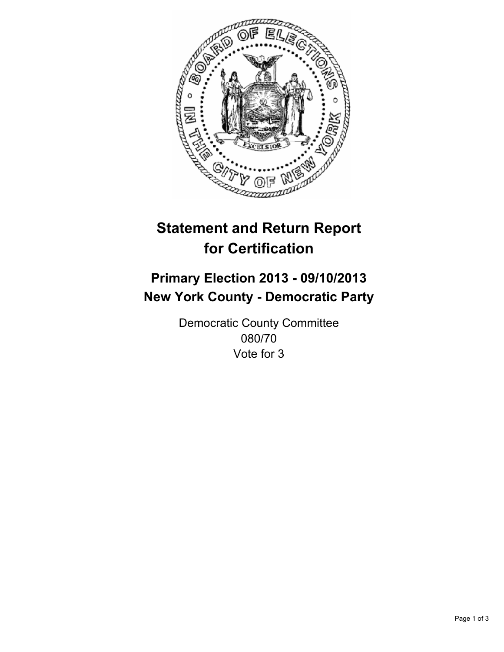

# **Statement and Return Report for Certification**

## **Primary Election 2013 - 09/10/2013 New York County - Democratic Party**

Democratic County Committee 080/70 Vote for 3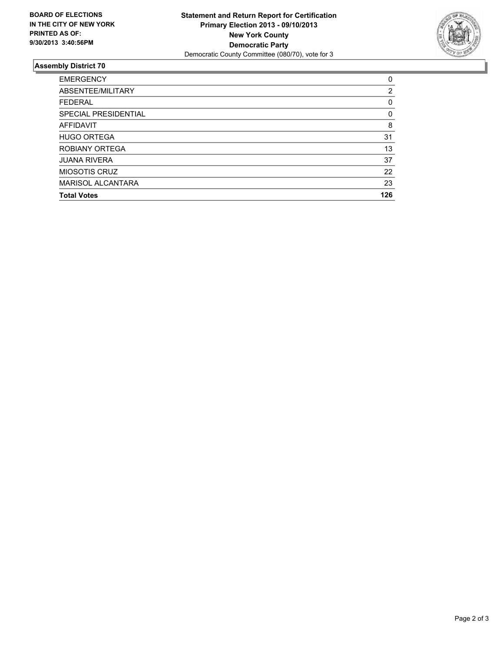

### **Assembly District 70**

| <b>EMERGENCY</b>         | 0   |
|--------------------------|-----|
| ABSENTEE/MILITARY        | 2   |
| <b>FEDERAL</b>           | 0   |
| SPECIAL PRESIDENTIAL     | 0   |
| <b>AFFIDAVIT</b>         | 8   |
| <b>HUGO ORTEGA</b>       | 31  |
| ROBIANY ORTEGA           | 13  |
| <b>JUANA RIVERA</b>      | 37  |
| <b>MIOSOTIS CRUZ</b>     | 22  |
| <b>MARISOL ALCANTARA</b> | 23  |
| <b>Total Votes</b>       | 126 |